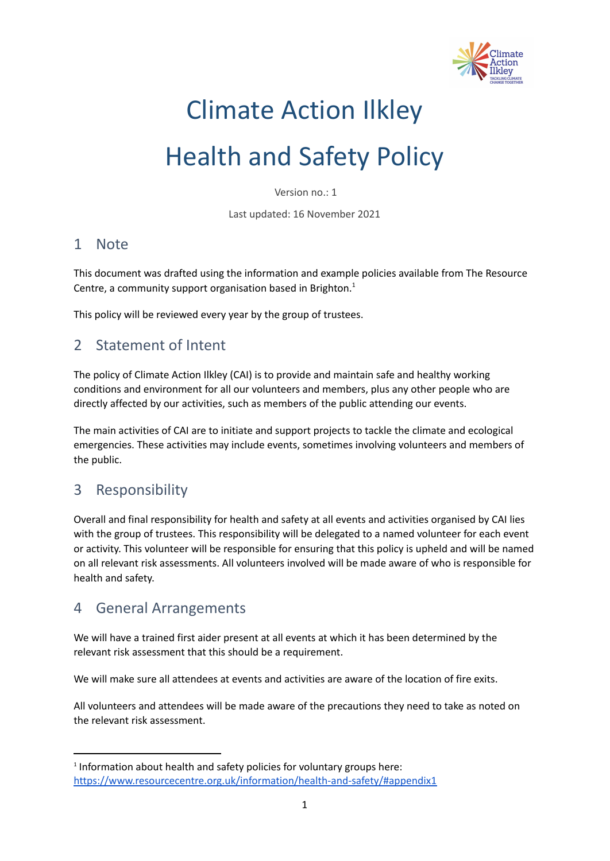

# Climate Action Ilkley

# Health and Safety Policy

Version no.: 1

Last updated: 16 November 2021

#### 1 Note

This document was drafted using the information and example policies available from The Resource Centre, a community support organisation based in Brighton.<sup>1</sup>

This policy will be reviewed every year by the group of trustees.

## 2 Statement of Intent

The policy of Climate Action Ilkley (CAI) is to provide and maintain safe and healthy working conditions and environment for all our volunteers and members, plus any other people who are directly affected by our activities, such as members of the public attending our events.

The main activities of CAI are to initiate and support projects to tackle the climate and ecological emergencies. These activities may include events, sometimes involving volunteers and members of the public.

## 3 Responsibility

Overall and final responsibility for health and safety at all events and activities organised by CAI lies with the group of trustees. This responsibility will be delegated to a named volunteer for each event or activity. This volunteer will be responsible for ensuring that this policy is upheld and will be named on all relevant risk assessments. All volunteers involved will be made aware of who is responsible for health and safety.

#### 4 General Arrangements

We will have a trained first aider present at all events at which it has been determined by the relevant risk assessment that this should be a requirement.

We will make sure all attendees at events and activities are aware of the location of fire exits.

All volunteers and attendees will be made aware of the precautions they need to take as noted on the relevant risk assessment.

<sup>&</sup>lt;sup>1</sup> Information about health and safety policies for voluntary groups here[:](https://www.resourcecentre.org.uk/information/health-and-safety/#appendix1) <https://www.resourcecentre.org.uk/information/health-and-safety/#appendix1>